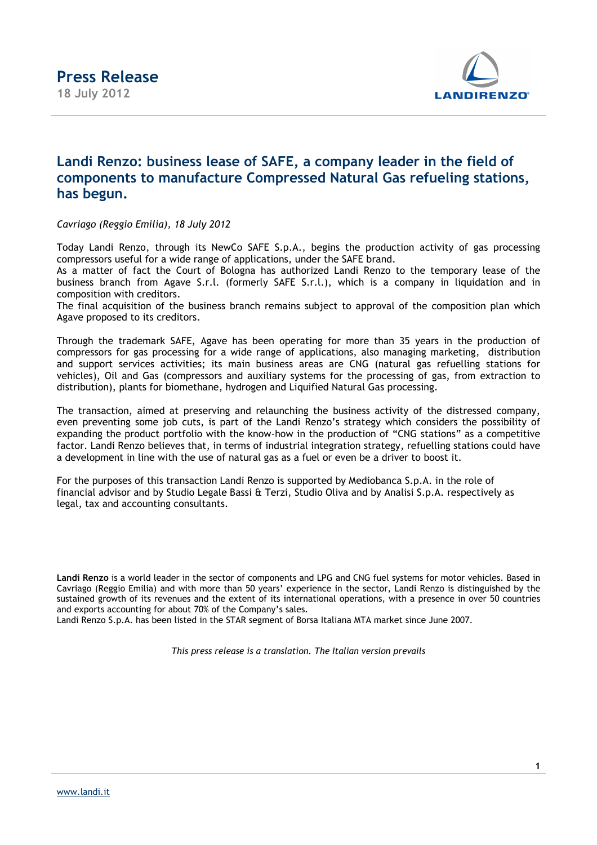

## **Landi Renzo: business lease of SAFE, a company leader in the field of components to manufacture Compressed Natural Gas refueling stations, has begun.**

*Cavriago (Reggio Emilia), 18 July 2012* 

Today Landi Renzo, through its NewCo SAFE S.p.A., begins the production activity of gas processing compressors useful for a wide range of applications, under the SAFE brand.

As a matter of fact the Court of Bologna has authorized Landi Renzo to the temporary lease of the business branch from Agave S.r.l. (formerly SAFE S.r.l.), which is a company in liquidation and in composition with creditors.

The final acquisition of the business branch remains subject to approval of the composition plan which Agave proposed to its creditors.

Through the trademark SAFE, Agave has been operating for more than 35 years in the production of compressors for gas processing for a wide range of applications, also managing marketing, distribution and support services activities; its main business areas are CNG (natural gas refuelling stations for vehicles), Oil and Gas (compressors and auxiliary systems for the processing of gas, from extraction to distribution), plants for biomethane, hydrogen and Liquified Natural Gas processing.

The transaction, aimed at preserving and relaunching the business activity of the distressed company, even preventing some job cuts, is part of the Landi Renzo's strategy which considers the possibility of expanding the product portfolio with the know-how in the production of "CNG stations" as a competitive factor. Landi Renzo believes that, in terms of industrial integration strategy, refuelling stations could have a development in line with the use of natural gas as a fuel or even be a driver to boost it.

For the purposes of this transaction Landi Renzo is supported by Mediobanca S.p.A. in the role of financial advisor and by Studio Legale Bassi & Terzi, Studio Oliva and by Analisi S.p.A. respectively as legal, tax and accounting consultants.

**Landi Renzo** is a world leader in the sector of components and LPG and CNG fuel systems for motor vehicles. Based in Cavriago (Reggio Emilia) and with more than 50 years' experience in the sector, Landi Renzo is distinguished by the sustained growth of its revenues and the extent of its international operations, with a presence in over 50 countries and exports accounting for about 70% of the Company's sales.

Landi Renzo S.p.A. has been listed in the STAR segment of Borsa Italiana MTA market since June 2007.

*This press release is a translation. The Italian version prevails*